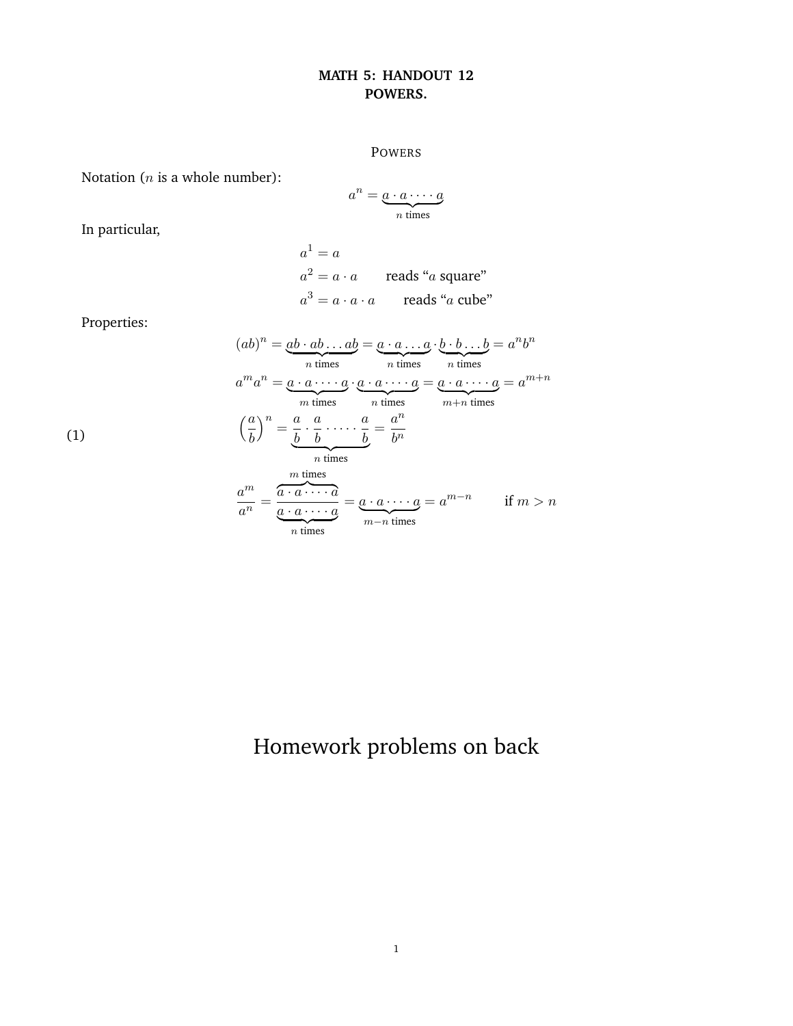## **MATH 5: HANDOUT 12 POWERS.**

## POWERS

Notation ( $n$  is a whole number):

$$
a^n = \underbrace{a \cdot a \cdots a}_{n \text{ times}}
$$

In particular,

$$
a1 = a
$$
  
\n
$$
a2 = a \cdot a
$$
 reads "a square"  
\n
$$
a3 = a \cdot a \cdot a
$$
 reads "a cube"

Properties:

$$
(ab)^n = \underbrace{ab \cdot ab \dots ab}_{n \text{ times}} = \underbrace{a \cdot a \dots a}_{n \text{ times}} \cdot \underbrace{b \cdot b \dots b}_{n \text{ times}} = a^n b^n
$$
\n
$$
a^m a^n = \underbrace{a \cdot a \cdot \dots \cdot a}_{m \text{ times}} \cdot \underbrace{a \cdot a \cdot \dots \cdot a}_{n \text{ times}} = \underbrace{a \cdot a \cdot \dots \cdot a}_{m+n \text{ times}} = a^{m+n}
$$
\n
$$
\left(\frac{a}{b}\right)^n = \underbrace{\frac{a}{b} \cdot \frac{a}{b} \cdot \dots \cdot \frac{a}{b}}_{n \text{ times}} = \underbrace{a^n}_{n \text{ times}} = a^n
$$
\n
$$
\underbrace{a^m}_{n \text{ times}} = \underbrace{a \cdot a \cdot \dots \cdot a}_{m-n \text{ times}} = a^{m-n} \quad \text{if } m > n
$$

(1)

## Homework problems on back